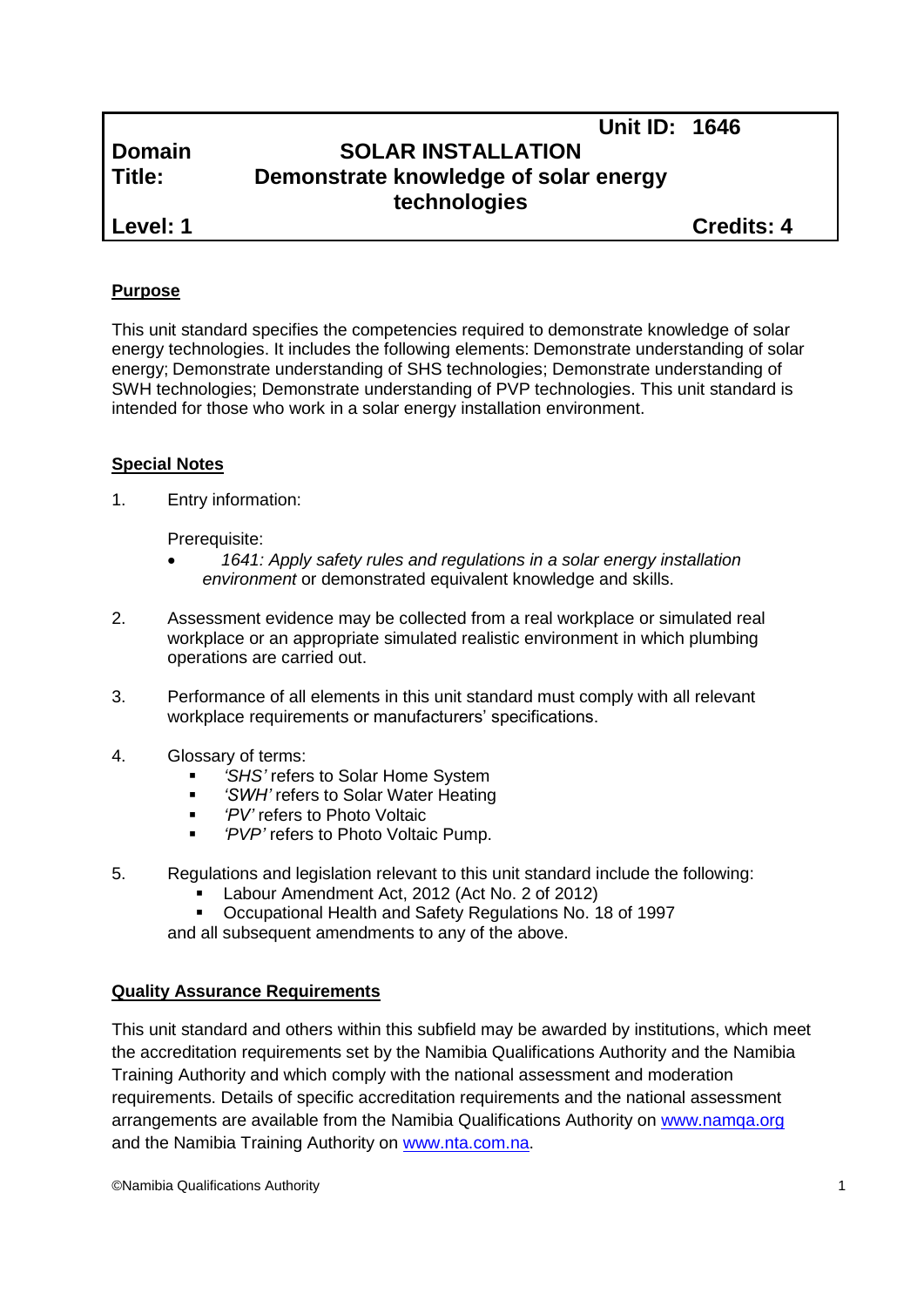| Domain |  |
|--------|--|
| ·Title |  |

# **Unit ID: 1646 SOLAR INSTALLATION Demonstrate knowledge of solar energy technologies**

**Level: 1 Credits: 4**

# **Purpose**

This unit standard specifies the competencies required to demonstrate knowledge of solar energy technologies. It includes the following elements: Demonstrate understanding of solar energy; Demonstrate understanding of SHS technologies; Demonstrate understanding of SWH technologies; Demonstrate understanding of PVP technologies. This unit standard is intended for those who work in a solar energy installation environment.

# **Special Notes**

1. Entry information:

Prerequisite:

- *1641: Apply safety rules and regulations in a solar energy installation environment* or demonstrated equivalent knowledge and skills.
- 2. Assessment evidence may be collected from a real workplace or simulated real workplace or an appropriate simulated realistic environment in which plumbing operations are carried out.
- 3. Performance of all elements in this unit standard must comply with all relevant workplace requirements or manufacturers' specifications.
- 4. Glossary of terms:
	- *'SHS'* refers to Solar Home System
	- *'SWH'* refers to Solar Water Heating
	- *'PV'* refers to Photo Voltaic
	- *'PVP'* refers to Photo Voltaic Pump.
- 5. Regulations and legislation relevant to this unit standard include the following:
	- Labour Amendment Act, 2012 (Act No. 2 of 2012)
	- Occupational Health and Safety Regulations No. 18 of 1997

and all subsequent amendments to any of the above.

# **Quality Assurance Requirements**

This unit standard and others within this subfield may be awarded by institutions, which meet the accreditation requirements set by the Namibia Qualifications Authority and the Namibia Training Authority and which comply with the national assessment and moderation requirements. Details of specific accreditation requirements and the national assessment arrangements are available from the Namibia Qualifications Authority on [www.namqa.org](http://www.namqa.org/) and the Namibia Training Authority on [www.nta.com.na.](http://www.nta.com.na/)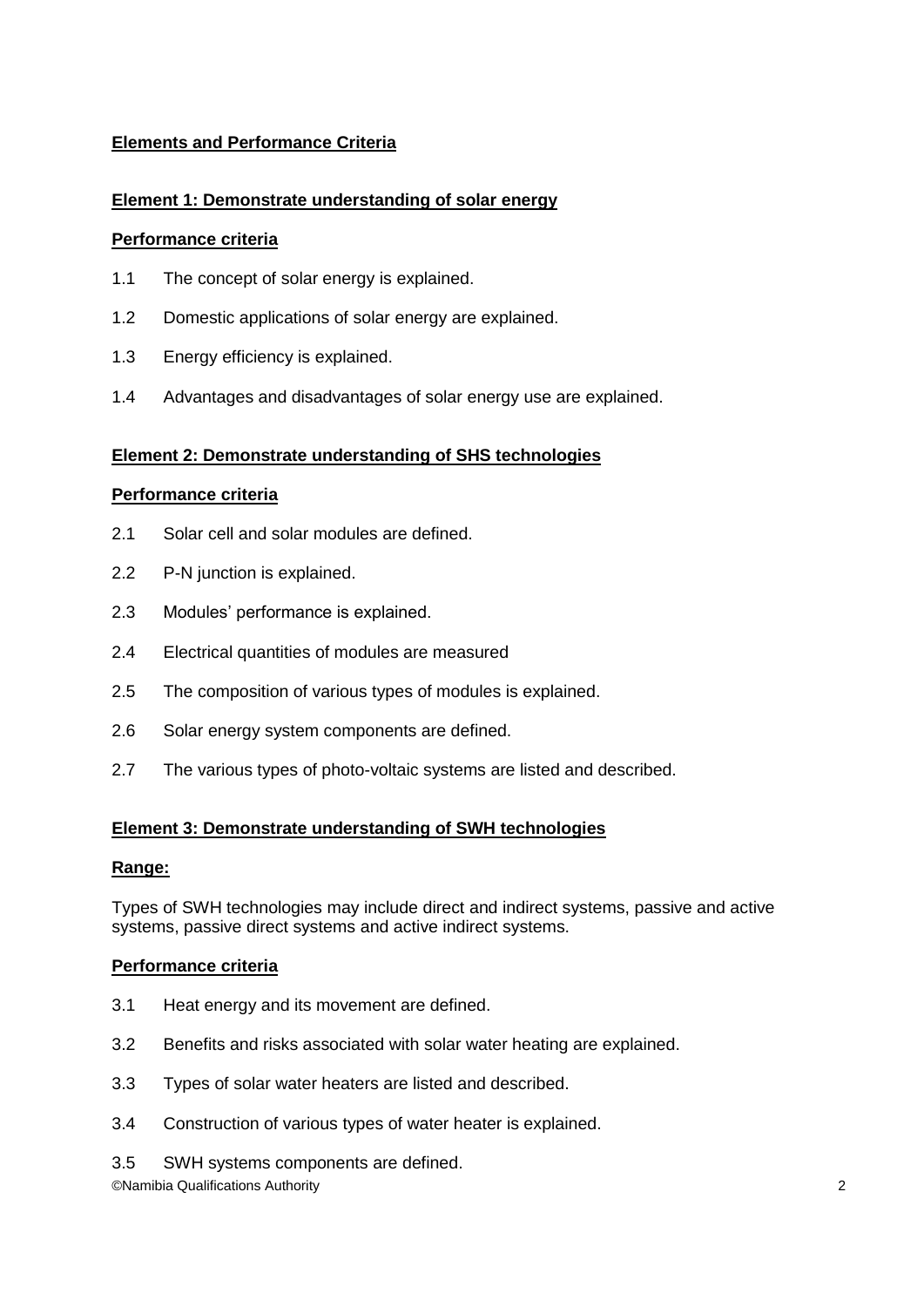# **Elements and Performance Criteria**

# **Element 1: Demonstrate understanding of solar energy**

#### **Performance criteria**

- 1.1 The concept of solar energy is explained.
- 1.2 Domestic applications of solar energy are explained.
- 1.3 Energy efficiency is explained.
- 1.4 Advantages and disadvantages of solar energy use are explained.

#### **Element 2: Demonstrate understanding of SHS technologies**

#### **Performance criteria**

- 2.1 Solar cell and solar modules are defined.
- 2.2 P-N junction is explained.
- 2.3 Modules' performance is explained.
- 2.4 Electrical quantities of modules are measured
- 2.5 The composition of various types of modules is explained.
- 2.6 Solar energy system components are defined.
- 2.7 The various types of photo-voltaic systems are listed and described.

#### **Element 3: Demonstrate understanding of SWH technologies**

#### **Range:**

Types of SWH technologies may include direct and indirect systems, passive and active systems, passive direct systems and active indirect systems.

#### **Performance criteria**

- 3.1 Heat energy and its movement are defined.
- 3.2 Benefits and risks associated with solar water heating are explained.
- 3.3 Types of solar water heaters are listed and described.
- 3.4 Construction of various types of water heater is explained.
- 3.5 SWH systems components are defined.

©Namibia Qualifications Authority 2